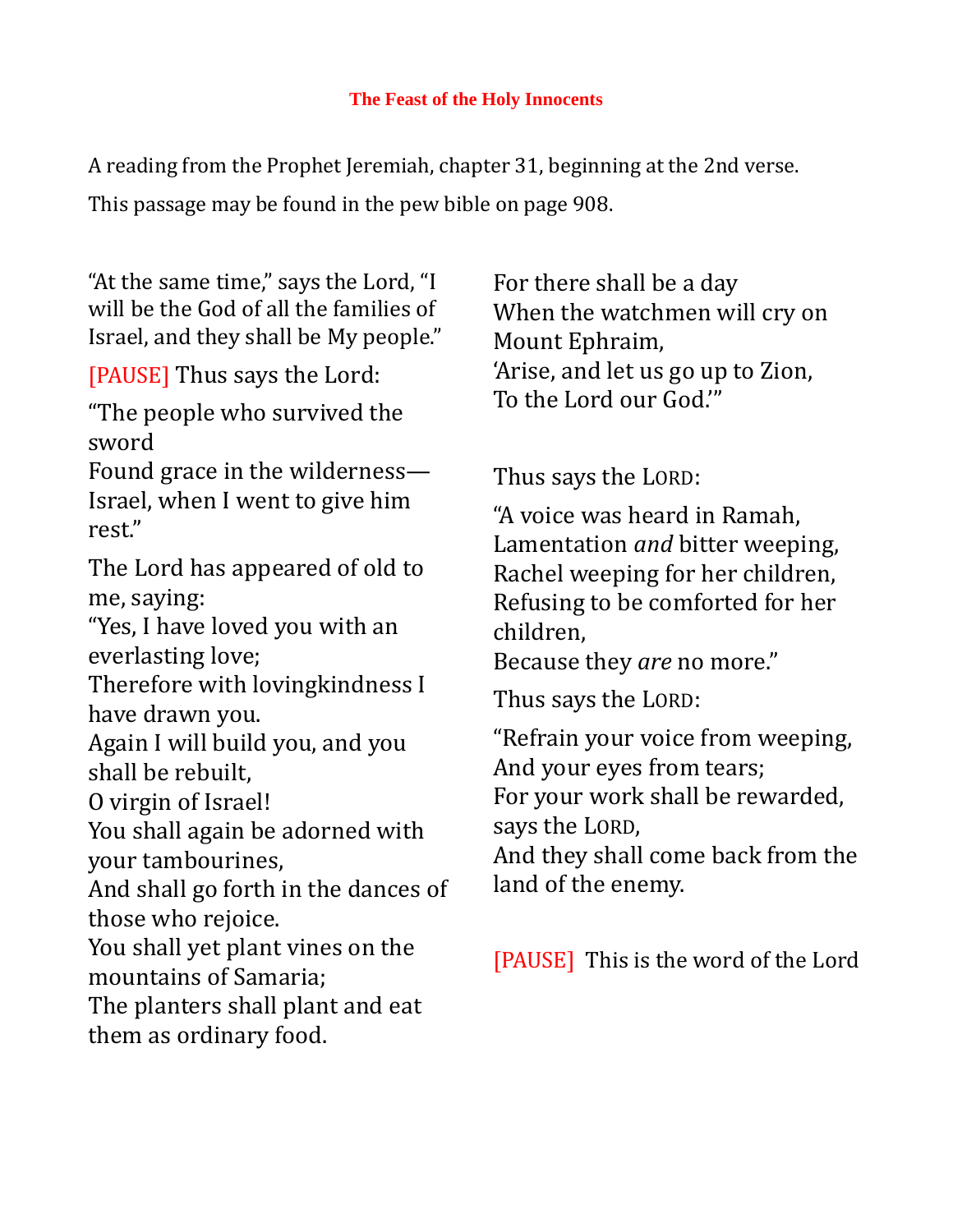A reading from the Prophet Jeremiah, chapter 31, beginning at the 2nd verse. This passage may be found in the pew bible on page 908.

"At the same time," says the Lord, "I will be the God of all the families of Israel, and they shall be My people."

[PAUSE] Thus says the Lord:

"The people who survived the sword

Found grace in the wilderness— Israel, when I went to give him rest."

The Lord has appeared of old to me, saying:

"Yes, I have loved you with an everlasting love;

Therefore with lovingkindness I have drawn you.

Again I will build you, and you shall be rebuilt,

O virgin of Israel!

You shall again be adorned with your tambourines,

And shall go forth in the dances of those who rejoice.

You shall yet plant vines on the mountains of Samaria;

The planters shall plant and eat them as ordinary food.

For there shall be a day When the watchmen will cry on Mount Ephraim, 'Arise, and let us go up to Zion, To the Lord our God.'"

Thus says the LORD:

"A voice was heard in Ramah, Lamentation *and* bitter weeping, Rachel weeping for her children, Refusing to be comforted for her children,

Because they *are* no more."

Thus says the LORD:

"Refrain your voice from weeping, And your eyes from tears; For your work shall be rewarded, says the LORD,

And they shall come back from the land of the enemy.

[PAUSE] This is the word of the Lord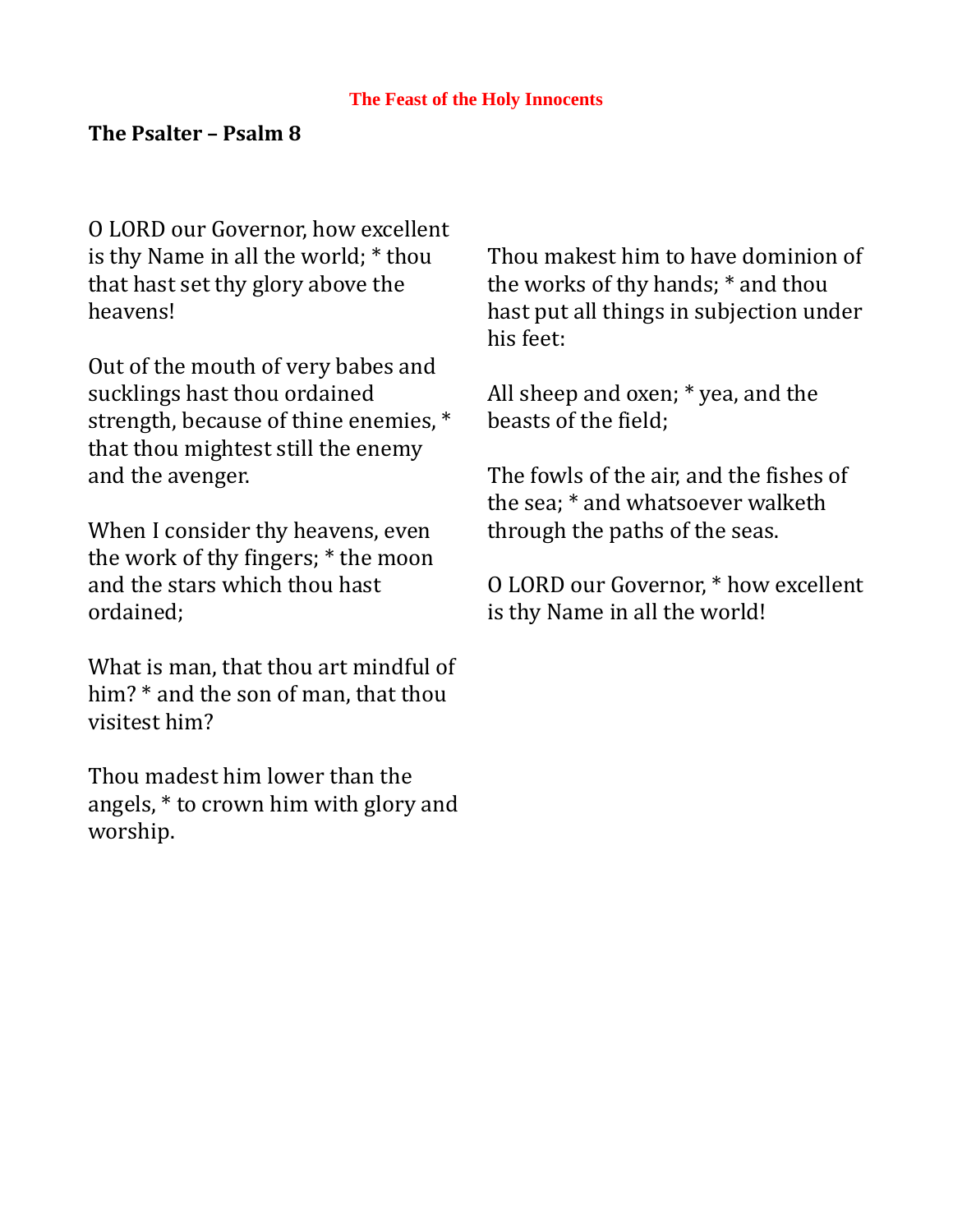## **The Psalter – Psalm 8**

O LORD our Governor, how excellent is thy Name in all the world; \* thou that hast set thy glory above the heavens!

Out of the mouth of very babes and sucklings hast thou ordained strength, because of thine enemies, \* that thou mightest still the enemy and the avenger.

When I consider thy heavens, even the work of thy fingers; \* the moon and the stars which thou hast ordained;

What is man, that thou art mindful of him? \* and the son of man, that thou visitest him?

Thou madest him lower than the angels, \* to crown him with glory and worship.

Thou makest him to have dominion of the works of thy hands; \* and thou hast put all things in subjection under his feet:

All sheep and oxen; \* yea, and the beasts of the field;

The fowls of the air, and the fishes of the sea; \* and whatsoever walketh through the paths of the seas.

O LORD our Governor, \* how excellent is thy Name in all the world!